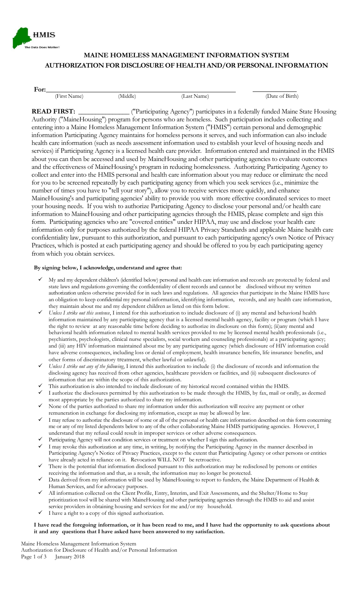

# **MAINE HOMELESS MANAGEMENT INFORMATION SYSTEM AUTHORIZATION FOR DISCLOSURE OF HEALTH AND/OR PERSONAL INFORMATION**

| (Middle)<br>(Last Name)<br>(First Name) | f Birth)<br>Date of . |
|-----------------------------------------|-----------------------|
|-----------------------------------------|-----------------------|

**READ FIRST:** \_\_\_\_\_\_\_\_\_\_\_\_\_\_ ("Participating Agency") participates in a federally funded Maine State Housing Authority ("MaineHousing") program for persons who are homeless. Such participation includes collecting and entering into a Maine Homeless Management Information System ("HMIS") certain personal and demographic information Participating Agency maintains for homeless persons it serves, and such information can also include health care information (such as needs assessment information used to establish your level of housing needs and services) if Participating Agency is a licensed health care provider. Information entered and maintained in the HMIS about you can then be accessed and used by MaineHousing and other participating agencies to evaluate outcomes and the effectiveness of MaineHousing's program in reducing homelessness. Authorizing Participating Agency to collect and enter into the HMIS personal and health care information about you may reduce or eliminate the need for you to be screened repeatedly by each participating agency from which you seek services (i.e., minimize the number of times you have to "tell your story"), allow you to receive services more quickly, and enhance MaineHousing's and participating agencies' ability to provide you with more effective coordinated services to meet your housing needs. If you wish to authorize Participating Agency to disclose your personal and/or health care information to MaineHousing and other participating agencies through the HMIS, please complete and sign this form. Participating agencies who are "covered entities" under HIPAA, may use and disclose your health care information only for purposes authorized by the federal HIPAA Privacy Standards and applicable Maine health care confidentiality law, pursuant to this authorization, and pursuant to each participating agency's own Notice of Privacy Practices, which is posted at each participating agency and should be offered to you by each participating agency from which you obtain services.

#### **By signing below, I acknowledge, understand and agree that:**

- My and my dependent children's (identified below) personal and health care information and records are protected by federal and state laws and regulations governing the confidentiality of client records and cannot be disclosed without my written authorization unless otherwise provided for in such laws and regulations. All agencies that participate in the Maine HMIS have an obligation to keep confidential my personal information, identifying information, records, and any health care information, they maintain about me and my dependent children as listed on this form below.
- *Unless I strike out this sentence*, I intend for this authorization to include disclosure of (i) any mental and behavioral health information maintained by any participating agency that is a licensed mental health agency, facility or program (which I have the right to review at any reasonable time before deciding to authorize its disclosure on this form); (ii)any mental and behavioral health information related to mental health services provided to me by licensed mental health professionals (i.e., psychiatrists, psychologists, clinical nurse specialists, social workers and counseling professionals) at a participating agency; and (iii) any HIV information maintained about me by any participating agency (which disclosure of HIV information could have adverse consequences, including loss or denial of employment, health insurance benefits, life insurance benefits, and other forms of discriminatory treatment, whether lawful or unlawful).
- *Unless I strike out any of the following*, I intend this authorization to include (i) the disclosure of records and information the disclosing agency has received from other agencies, healthcare providers or facilities, and (ii) subsequent disclosures of information that are within the scope of this authorization.
- This authorization is also intended to include disclosure of my historical record contained within the HMIS.
- I authorize the disclosures permitted by this authorization to be made through the HMIS, by fax, mail or orally, as deemed most appropriate by the parties authorized to share my information.
- None of the parties authorized to share my information under this authorization will receive any payment or other remuneration in exchange for disclosing my information, except as may be allowed by law.
- I may refuse to authorize the disclosure of some or all of the personal or health care information described on this form concerning me or any of my listed dependents below to any of the other collaborating Maine HMIS participating agencies. However, I understand that my refusal could result in improper services or other adverse consequences.
- Participating Agency will not condition services or treatment on whether I sign this authorization.
- I may revoke this authorization at any time, in writing, by notifying the Participating Agency in the manner described in Participating Agency's Notice of Privacy Practices, except to the extent that Participating Agency or other persons or entities have already acted in reliance on it. Revocation WILL NOT be retroactive.
- There is the potential that information disclosed pursuant to this authorization may be redisclosed by persons or entities receiving the information and that, as a result, the information may no longer be protected.
- Data derived from my information will be used by MaineHousing to report to funders, the Maine Department of Health & Human Services, and for advocacy purposes.
- All information collected on the Client Profile, Entry, Interim, and Exit Assessments, and the Shelter/Home to Stay prioritization tool will be shared with MaineHousing and other participating agencies through the HMIS to aid and assist service providers in obtaining housing and services for me and/or my household.
- I have a right to a copy of this signed authorization.

#### I have read the foregoing information, or it has been read to me, and I have had the opportunity to ask questions about **it and any questions that I have asked have been answered to my satisfaction.**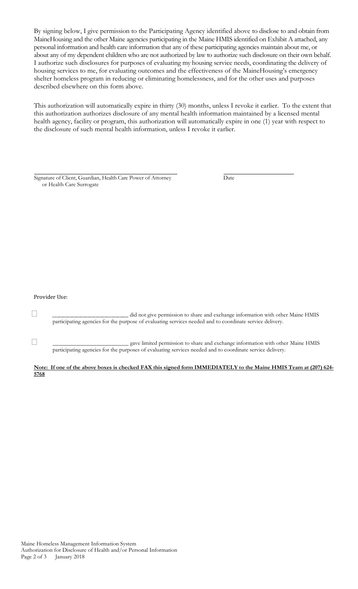By signing below, I give permission to the Participating Agency identified above to disclose to and obtain from MaineHousing and the other Maine agencies participating in the Maine HMIS identified on Exhibit A attached, any personal information and health care information that any of these participating agencies maintain about me, or about any of my dependent children who are not authorized by law to authorize such disclosure on their own behalf. I authorize such disclosures for purposes of evaluating my housing service needs, coordinating the delivery of housing services to me, for evaluating outcomes and the effectiveness of the MaineHousing's emergency shelter homeless program in reducing or eliminating homelessness, and for the other uses and purposes described elsewhere on this form above.

This authorization will automatically expire in thirty (30) months, unless I revoke it earlier. To the extent that this authorization authorizes disclosure of any mental health information maintained by a licensed mental health agency, facility or program, this authorization will automatically expire in one (1) year with respect to the disclosure of such mental health information, unless I revoke it earlier.

| Signature of Client, Guardian, Health Care Power of Attorney | Date |
|--------------------------------------------------------------|------|
| or Health Care Surrogate                                     |      |

#### Provider Use:

 \_\_\_\_\_\_\_\_\_\_\_\_\_\_\_\_\_\_\_\_\_\_\_\_\_\_\_\_\_\_\_\_\_\_\_ did not give permission to share and exchange information with other Maine HMIS participating agencies for the purpose of evaluating services needed and to coordinate service delivery.

 \_\_\_\_\_\_\_\_\_\_\_\_\_\_\_\_\_\_\_\_\_\_\_\_\_\_ gave limited permission to share and exchange information with other Maine HMIS participating agencies for the purposes of evaluating services needed and to coordinate service delivery.

**Note: If one of the above boxes is checked FAX this signed form IMMEDIATELY to the Maine HMIS Team at (207) 624- 5768**